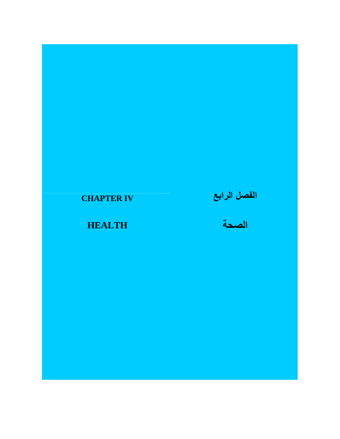## **CHAPTER IV**

# **الفصل الرابع**

**الصحة**

**HEALTH**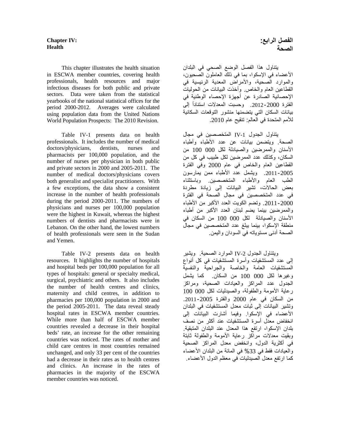#### **Chapter IV: Health**

 This chapter illustrates the health situation in ESCWA member countries, covering health professionals, health resources and major infectious diseases for both public and private sectors. Data were taken from the statistical yearbooks of the national statistical offices for the period 2000-2012. Averages were calculated using population data from the United Nations World Population Prospects: The 2010 Revision.

 Table IV-1 presents data on health professionals. It includes the number of medical doctors/physicians, dentists, nurses and pharmacists per 100,000 population, and the number of nurses per physician in both public and private sectors in 2000 and 2005-2011. The number of medical doctors/physicians covers both generalist and specialist practitioners. With a few exceptions, the data show a consistent increase in the number of health professionals during the period 2000-2011. The numbers of physicians and nurses per 100,000 population were the highest in Kuwait, whereas the highest numbers of dentists and pharmacists were in Lebanon. On the other hand, the lowest numbers of health professionals were seen in the Sudan and Yemen.

 Table IV-2 presents data on health resources. It highlights the number of hospitals and hospital beds per 100,000 population for all types of hospitals: general or specialty medical, surgical, psychiatric and others. It also includes the number of health centres and clinics, maternity and child centres, in addition to pharmacies per 100,000 population in 2000 and the period 2005-2011. The data reveal steady hospital rates in ESCWA member countries. While more than half of ESCWA member countries revealed a decrease in their hospital beds' rate, an increase for the other remaining countries was noticed. The rates of mother and child care centres in most countries remained unchanged, and only 33 per cent of the countries had a decrease in their rates as to health centres and clinics. An increase in the rates of pharmacies in the majority of the ESCWA member countries was noticed.

يتناول ھذا الفصل الوضع الصحي في البلدان األعضاء في اإلسكوا، بما في ذلك العاملون الصحيون، والموارد الصحية، واألمراض المعدية الرئيسية في القطاعين العام والخاص. وأخذت البيانات من الحوليات اإلحصائية الصادرة عن أجھزة اإلحصاء الوطنية في الفترة 2000-2012. وحسبت المعدلات استناداً إلى بيانات السكان التي يتضمنھا منشور التوقعات السكانية لألمم المتحدة في العالم: تنقيح عام .2010

يتناول الجدول -1IV المتخصصين في مجال الصحة. ويتضمن بيانات عن عدد األطباء وأطباء األسنان والممرضين والصيادلة لكل 000 100 من السكان، وكذلك عدد الممرضين لكل طبيب في كل من القطاعين العام والخاص في عام 2000 وفي الفترة .2011-2005 ويشمل عدد األطباء ممن يمارسون الطب العام واألطباء المتخصصين. وباستثناء بعض الحاالت، تشير البيانات إلى زيادة مطردة في عدد المتخصصين في مجال الصحة في الفترة .2011-2000 وتضم الكويت العدد األكبر من األطباء والممرضين بينما يضم لبنان العدد الأكبر من أطباء األسنان والصيادلة لكل 000 100 من السكان في منطقة اإلسكوا، بينما يبلغ عدد المتخصصين في مجال الصحة أدنى مستوياته في السودان واليمن.

ويتناول الجدول -2IV الموارد الصحية. ويشير إلى عدد المستشفيات وأسرة المستشفيات في كل أنواع المستشفيات العامة والخاصة والجراحية والنفسية وغيرھا لكل 000 100 من السكان. كما يشمل الجدول عدد المراكز والعيادات الصحية، ومراكز رعاية الأمومة والطفولة، والصيدليات لكل 000 100 من السكان في عام 2000 والفترة .2011-2005 وتشير البيانات إلى ثبات معدل المستشفيات في البلدان األعضاء في اإلسكوا. وفيما أشارت البيانات إلى انخفاض معدل أسرة المستشفيات عند أكثر من نصف بلدان اإلسكوا، ارتفع ھذا المعدل عند البلدان المتبقية. وبقيت معدالت مراكز رعاية األمومة والطفولة ثابتة في أكثرية الدول، وانخفض معدل المراكز الصحية والعيادات فقط في 33% في المائة من البلدان الأعضاء كما ارتفع معدل الصيدليات في معظم الدول األعضاء.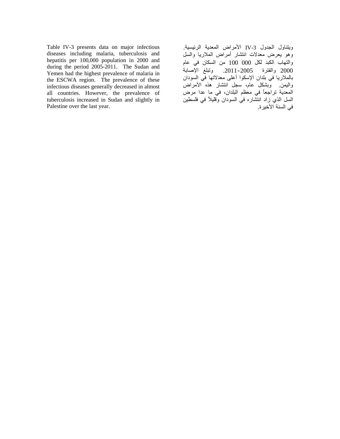Table IV-3 presents data on major infectious diseases including malaria, tuberculosis and hepatitis per 100,000 population in 2000 and during the period 2005-2011. The Sudan and Yemen had the highest prevalence of malaria in the ESCWA region. The prevalence of these infectious diseases generally decreased in almost all countries. However, the prevalence of tuberculosis increased in Sudan and slightly in Palestine over the last year.

ويتناول الجدول -3IV األمراض المعدية الرئيسية. وھو يعرض معدالت انتشار أمراض المالريا والسل والتھاب الكبد لكل 000 100 من السكان في عام 2000 والفترة .2011-2005 وتبلغ اإلصابة بالمالريا في بلدان اإلسكوا أعلى معدالتھا في السودان واليمن. وبشكل عام، سجل انتشار ھذه األمراض المعدية تراجعاً في معظم البلدان، في ما عدا مرض السل الذي زاد انتشاره في السودان وقليلاً في فلسطين في السنة األخيرة.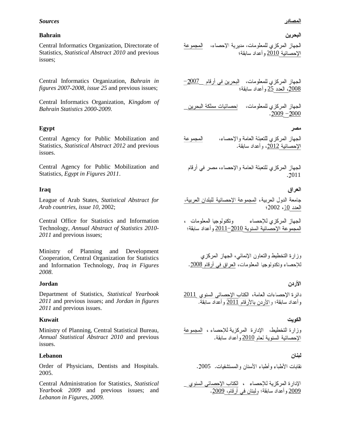#### *Sources*

#### **Bahrain**

Central Informatics Organization, Directorate of Statistics, *Statistical Abstract 2010* and previous issues;

Central Informatics Organization, *Bahrain in figures 2007-2008, issue 25* and previous issues;

Central Informatics Organization, *Kingdom of Bahrain Statistics 2000-2009.*

## **Egypt**

Central Agency for Public Mobilization and Statistics, *Statistical Abstract 2012* and previous issues.

Central Agency for Public Mobilization and Statistics, *Egypt in Figures 2011*.

## **Iraq**

League of Arab States, *Statistical Abstract for Arab countries, issue 10*, 2002; 2002 10

Central Office for Statistics and Information Technology, *Annual Abstract of Statistics 2010- 2011* and previous issues;

Ministry of Planning and Development Cooperation, Central Organization for Statistics and Information Technology, *Iraq in Figures 2008*.

## **Jordan**

Department of Statistics, *Statistical Yearbook 2011* and previous issues; and *Jordan in figures 2011* and previous issues.

## **Kuwait**

Ministry of Planning, Central Statistical Bureau, *Annual Statistical Abstract 2010* and previous issues.

## **Lebanon**

Order of Physicians, Dentists and Hospitals. 2005.

Central Administration for Statistics, *Statistical Yearbook 2009* and previous issues; and *Lebanon in Figures, 2009.* 

## البحر بن

الجهاز المركزي للمعلومات، مديرية الإحصاء، المجموعة الإحصائية 2010 و أعداد سابقة؛

الجهاز المركزي للمعلومات، البحرين في أرقام 2007<del>\_</del> 2008، العدد 25 وأعداد سابقة؛

الجهاز المركزي للمعلومات، [حصائيات مملكة البحرين  $-2009 - 2000$ 

## مصر

الجهاز المركزي للنعبئة العامة والإحصاء، المجموعة الإحصائية 2012، وأعداد سابقة.

الجهاز المركزي للتعبئة العامة والإحصاء، مصر في أرقام 2011

## العراق

جامعة الدول العربية، المجموعة الإحصائية للبلدان العربية،

الجهاز المركزي للاحصاء وتكنولوجيا المعلومات ، المجموعة الإحصائية السنوية 2010–2011 وأعداد سابقة؛

وزارة التخطيط والنعاون الإنمائي، الجهاز المركزي للإحصاء وتكنولوجيا المعلومات، العراق في أرقام 2008.

## الأردن

دائرة الإحصاءات العامة، الكتاب الإحصائي السنوي 2011 وأعداد سابقة؛ والأردن بالأرقام 2011 وأعداد سابقة.

## الكويت

وزارة التخطيط، الإدارة المركزية للإحصاء ، المجموعة الإحصائية السنوية لعام 2010 وأعداد سابقة.

## لبنان

نقابات الأطباء وأطباء الأسنان والمستشفيات. 2005.

الإدار ة المركزية للإحصاء ، الكتاب الإحصائي السن<u>وي </u><br><u>2009</u> وأعداد سابقة؛ ولبنان في أرقام، 2<u>009</u>.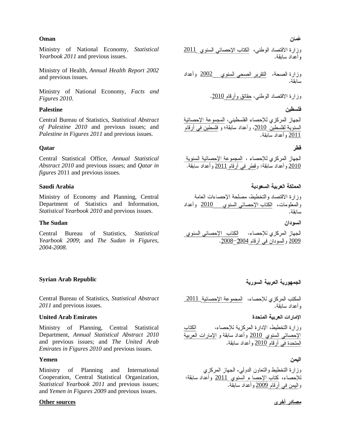#### **Oman**

Ministry of National Economy, *Statistical Yearbook 2011* and previous issues.

Ministry of Health, *Annual Health Report 2002* and previous issues.

Ministry of National Economy, *Facts and Figures 2010*.

### **Palestine**

Central Bureau of Statistics, *Statistical Abstract of Palestine 2010* and previous issues; and *Palestine in Figures 2011* and previous issues.

#### **Qatar**

Central Statistical Office, *Annual Statistical Abstract 2010* and previous issues; and *Qatar in figures* 2011 and previous issues.

#### **Saudi Arabia**

Ministry of Economy and Planning, Central Department of Statistics and Information, *Statistical Yearbook 2010* and previous issues.

#### **The Sudan**

Central Bureau of Statistics, *Statistical Yearbook 2009*; and *The Sudan in Figures, 2004-2008*.

#### **Syrian Arab Republic**

Central Bureau of Statistics, *Statistical Abstract 2011* and previous issues.

#### **United Arab Emirates**

Ministry of Planning, Central Statistical Department, *Annual Statistical Abstract 2010*  and previous issues; and *The United Arab Emirates in Figures 2010* and previous issues.

#### **Yemen**

Ministry of Planning and International Cooperation, Central Statistical Organization, *Statistical Yearbook 2011* and previous issues; and *Yemen in Figures 2009* and previous issues.

#### **Other sources**

وزارة الاقتصاد الوطني، الكتاب الإحصائـي السنوي 2011 و أعداد سابقة.

وزارة الصحة، التقرير الصحى السنوى 2<u>002</u> وأعداد سابقة.

وزارة الاقتصاد الوطنبي، حقائق وأرقام 2010.

#### فلسطين

الجهاز المركزي للإحصاء الفلسطيني، المجموعة الإحصائية السنوية لفلسطين 2010، وأعداد سابقة؛ و فلسطين في أرقام 2011

#### فطر

الجهاز المركزي للإحصاء ، المجموعة الإحصائية السنوية 2010 وأعداد سَابِقَة؛ وقطر في أرقام 2011 وأعداد سابقة.

## المملكة العربية السعودية

## وزارة الاقتصاد والتخطيط، مصلحة الإحصاءات العامة والمعلومات، الكتاب الإحصائي السنوي 2010 وأعداد سابقة.

السودان

الكتاب الإحصائي السنوى الجهاز المركزي للإحصاء، 200<u>9</u> والسودان في أرقام 2004<sup>-2008</sup>.

## الجمهورية العربية السورية

المكتب المركزي للإحصاء، المجموعة الإحصائية 2011 ، أعداد سابقة.

#### الامارات العربية المتحدة

وز ار ة التخطيط، الإدار ة المركز به للإحصاء، الكتاب الإحصائي السنوى <u>2010</u> وأعداد سابقة و الإمارات العربية المتحدة في أرقام 2010 وأعداد سابقة.

#### اليمن

وزارة التخطيط والنعاون الدولي، الجهاز المركزي للإحصاء، كتاب الإحصاء السنوي 2011 وأعداد سابقة؛ والليمن في أرقام 2009 وأعداد سابقة.

مصادر أخرى

#### غمان